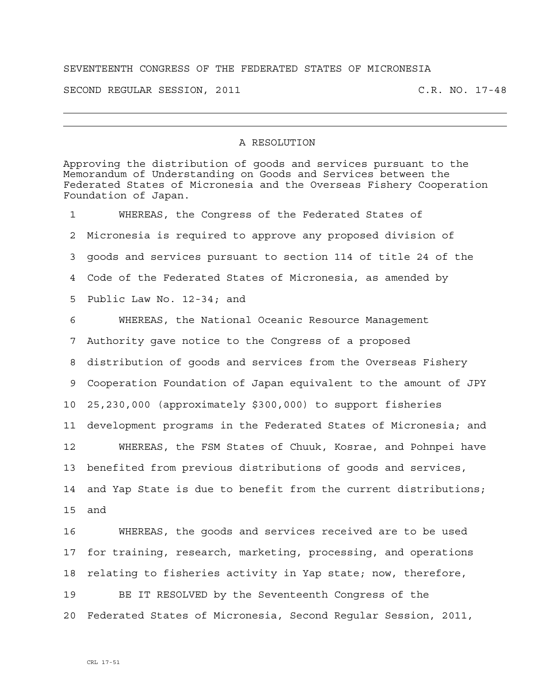## SEVENTEENTH CONGRESS OF THE FEDERATED STATES OF MICRONESIA

SECOND REGULAR SESSION, 2011 C.R. NO. 17-48

## A RESOLUTION

Approving the distribution of goods and services pursuant to the Memorandum of Understanding on Goods and Services between the Federated States of Micronesia and the Overseas Fishery Cooperation Foundation of Japan. 1 WHEREAS, the Congress of the Federated States of 2 Micronesia is required to approve any proposed division of 3 goods and services pursuant to section 114 of title 24 of the 4 Code of the Federated States of Micronesia, as amended by 5 Public Law No. 12-34; and 6 WHEREAS, the National Oceanic Resource Management 7 Authority gave notice to the Congress of a proposed 8 distribution of goods and services from the Overseas Fishery 9 Cooperation Foundation of Japan equivalent to the amount of JPY 10 25,230,000 (approximately \$300,000) to support fisheries 11 development programs in the Federated States of Micronesia; and 12 WHEREAS, the FSM States of Chuuk, Kosrae, and Pohnpei have 13 benefited from previous distributions of goods and services, 14 and Yap State is due to benefit from the current distributions; 15 and 16 WHEREAS, the goods and services received are to be used 17 for training, research, marketing, processing, and operations 18 relating to fisheries activity in Yap state; now, therefore, 19 BE IT RESOLVED by the Seventeenth Congress of the 20 Federated States of Micronesia, Second Regular Session, 2011,